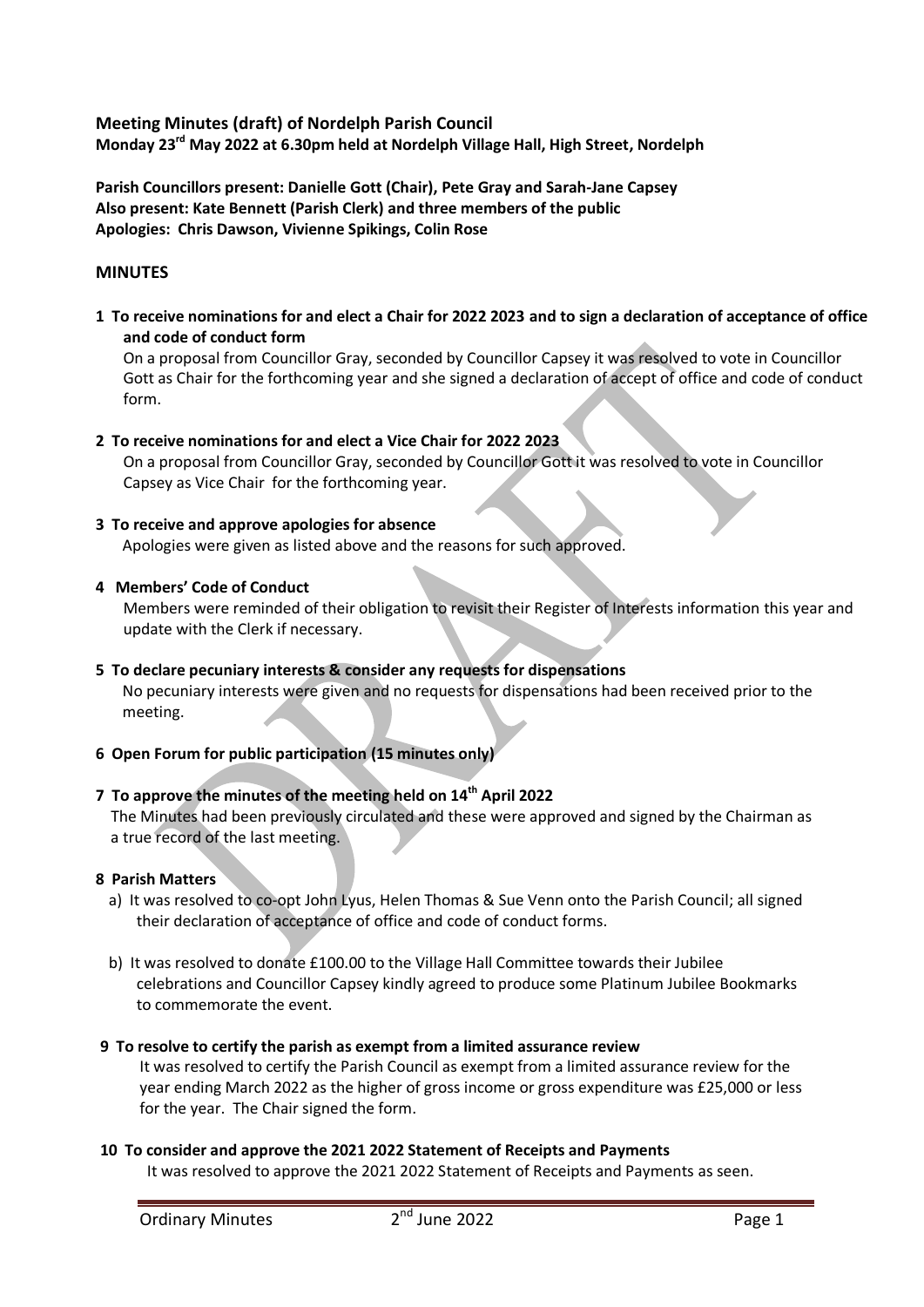# **Meeting Minutes (draft) of Nordelph Parish Council Monday 23rd May 2022 at 6.30pm held at Nordelph Village Hall, High Street, Nordelph**

**Parish Councillors present: Danielle Gott (Chair), Pete Gray and Sarah-Jane Capsey Also present: Kate Bennett (Parish Clerk) and three members of the public Apologies: Chris Dawson, Vivienne Spikings, Colin Rose**

# **MINUTES**

**1 To receive nominations for and elect a Chair for 2022 2023 and to sign a declaration of acceptance of office and code of conduct form**

On a proposal from Councillor Gray, seconded by Councillor Capsey it was resolved to vote in Councillor Gott as Chair for the forthcoming year and she signed a declaration of accept of office and code of conduct form.

## **2 To receive nominations for and elect a Vice Chair for 2022 2023**

On a proposal from Councillor Gray, seconded by Councillor Gott it was resolved to vote in Councillor Capsey as Vice Chair for the forthcoming year.

## **3 To receive and approve apologies for absence**

Apologies were given as listed above and the reasons for such approved.

#### **4 Members' Code of Conduct**

Members were reminded of their obligation to revisit their Register of Interests information this year and update with the Clerk if necessary.

# **5 To declare pecuniary interests & consider any requests for dispensations**

 No pecuniary interests were given and no requests for dispensations had been received prior to the meeting.

## **6 Open Forum for public participation (15 minutes only)**

## **7 To approve the minutes of the meeting held on 14th April 2022**

 The Minutes had been previously circulated and these were approved and signed by the Chairman as a true record of the last meeting.

## **8 Parish Matters**

- a) It was resolved to co-opt John Lyus, Helen Thomas & Sue Venn onto the Parish Council; all signed their declaration of acceptance of office and code of conduct forms.
- b) It was resolved to donate £100.00 to the Village Hall Committee towards their Jubilee celebrations and Councillor Capsey kindly agreed to produce some Platinum Jubilee Bookmarks to commemorate the event.

## **9 To resolve to certify the parish as exempt from a limited assurance review**

It was resolved to certify the Parish Council as exempt from a limited assurance review for the year ending March 2022 as the higher of gross income or gross expenditure was £25,000 or less for the year. The Chair signed the form.

## **10 To consider and approve the 2021 2022 Statement of Receipts and Payments**

It was resolved to approve the 2021 2022 Statement of Receipts and Payments as seen.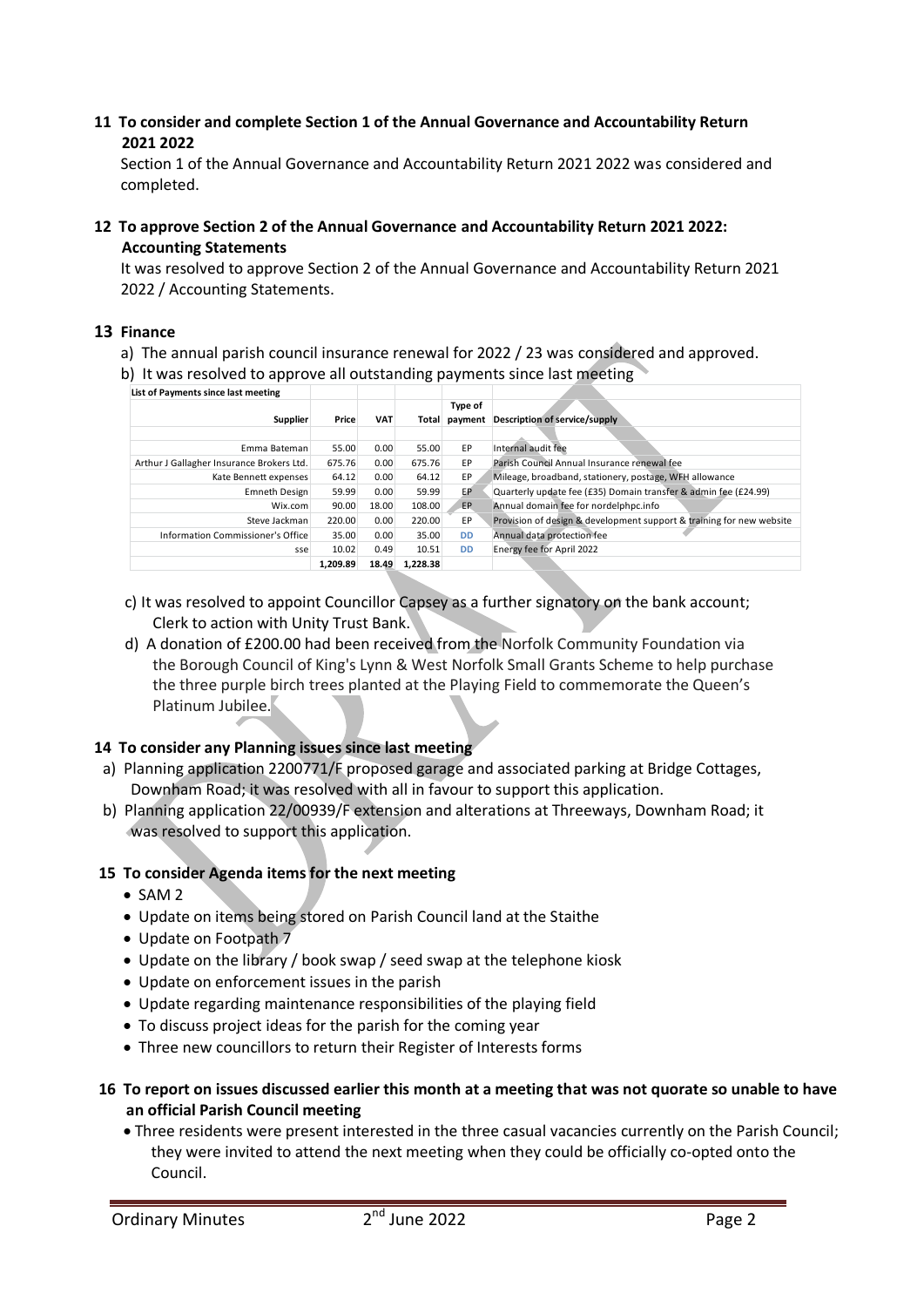#### **11 To consider and complete Section 1 of the Annual Governance and Accountability Return 2021 2022**

Section 1 of the Annual Governance and Accountability Return 2021 2022 was considered and completed.

**12 To approve Section 2 of the Annual Governance and Accountability Return 2021 2022: Accounting Statements**

It was resolved to approve Section 2 of the Annual Governance and Accountability Return 2021 2022 / Accounting Statements.

#### **13 Finance**

- a)The annual parish council insurance renewal for 2022 / 23 was considered and approved.
- b) It was resolved to approve all outstanding payments since last meeting

| List of Payments since last meeting       |          |            |          |               |                                                                      |
|-------------------------------------------|----------|------------|----------|---------------|----------------------------------------------------------------------|
|                                           |          |            |          | Type of       |                                                                      |
| Supplier                                  | Price    | <b>VAT</b> |          | Total payment | Description of service/supply                                        |
|                                           |          |            |          |               |                                                                      |
| Emma Bateman                              | 55.00    | 0.00       | 55.00    | EP            | Internal audit fee                                                   |
| Arthur J Gallagher Insurance Brokers Ltd. | 675.76   | 0.00       | 675.76   | EP            | Parish Council Annual Insurance renewal fee                          |
| Kate Bennett expenses                     | 64.12    | 0.00       | 64.12    | EP            | Mileage, broadband, stationery, postage, WFH allowance               |
| <b>Emneth Design</b>                      | 59.99    | 0.00       | 59.99    | EP.           | Quarterly update fee (£35) Domain transfer & admin fee (£24.99)      |
| Wix.com                                   | 90.00    | 18.00      | 108.00   | <b>EP</b>     | Annual domain fee for nordelphpc.info                                |
| Steve Jackman                             | 220.00   | 0.00       | 220.00   | EP            | Provision of design & development support & training for new website |
| Information Commissioner's Office         | 35.00    | 0.00       | 35.00    | <b>DD</b>     | Annual data protection fee                                           |
| sse                                       | 10.02    | 0.49       | 10.51    | <b>DD</b>     | Energy fee for April 2022                                            |
|                                           | 1,209.89 | 18.49      | 1,228.38 |               |                                                                      |

- c) It was resolved to appoint Councillor Capsey as a further signatory on the bank account; Clerk to action with Unity Trust Bank.
- d) A donation of £200.00 had been received from the Norfolk Community Foundation via the Borough Council of King's Lynn & West Norfolk Small Grants Scheme to help purchase the three purple birch trees planted at the Playing Field to commemorate the Queen's Platinum Jubilee.

## **14 To consider any Planning issues since last meeting**

- a) Planning application 2200771/F proposed garage and associated parking at Bridge Cottages, Downham Road; it was resolved with all in favour to support this application.
- b) Planning application 22/00939/F extension and alterations at Threeways, Downham Road; it was resolved to support this application.

## **15 To consider Agenda items for the next meeting**

- $\bullet$  SAM 2
- Update on items being stored on Parish Council land at the Staithe
- Update on Footpath 7
- Update on the library / book swap / seed swap at the telephone kiosk
- Update on enforcement issues in the parish
- Update regarding maintenance responsibilities of the playing field
- To discuss project ideas for the parish for the coming year
- Three new councillors to return their Register of Interests forms
- **16 To report on issues discussed earlier this month at a meeting that was not quorate so unable to have an official Parish Council meeting**
	- Three residents were present interested in the three casual vacancies currently on the Parish Council; they were invited to attend the next meeting when they could be officially co-opted onto the Council.